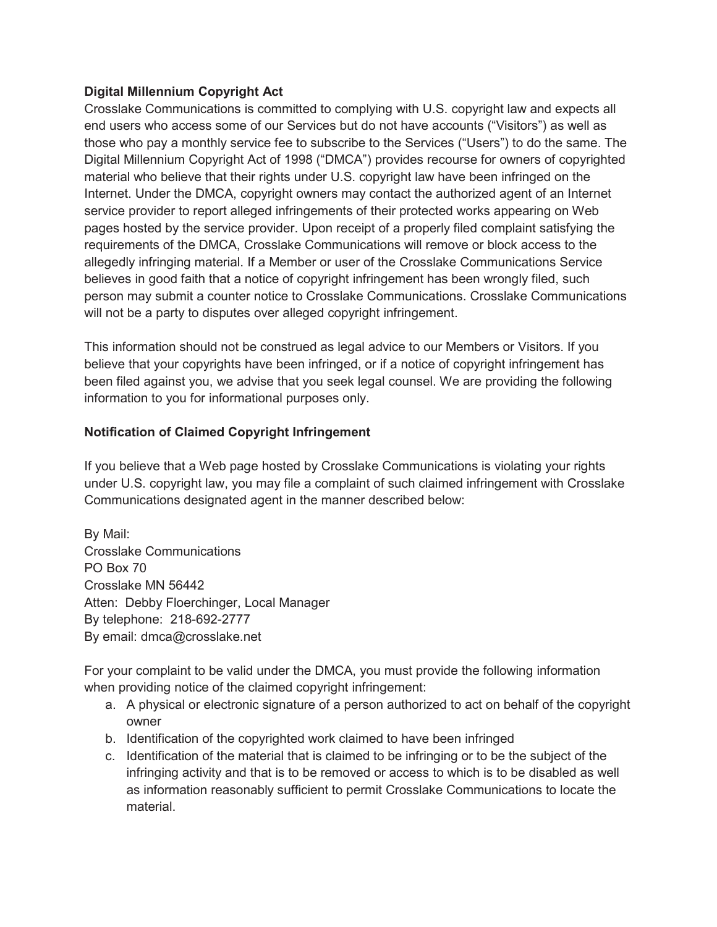## **Digital Millennium Copyright Act**

Crosslake Communications is committed to complying with U.S. copyright law and expects all end users who access some of our Services but do not have accounts ("Visitors") as well as those who pay a monthly service fee to subscribe to the Services ("Users") to do the same. The Digital Millennium Copyright Act of 1998 ("DMCA") provides recourse for owners of copyrighted material who believe that their rights under U.S. copyright law have been infringed on the Internet. Under the DMCA, copyright owners may contact the authorized agent of an Internet service provider to report alleged infringements of their protected works appearing on Web pages hosted by the service provider. Upon receipt of a properly filed complaint satisfying the requirements of the DMCA, Crosslake Communications will remove or block access to the allegedly infringing material. If a Member or user of the Crosslake Communications Service believes in good faith that a notice of copyright infringement has been wrongly filed, such person may submit a counter notice to Crosslake Communications. Crosslake Communications will not be a party to disputes over alleged copyright infringement.

This information should not be construed as legal advice to our Members or Visitors. If you believe that your copyrights have been infringed, or if a notice of copyright infringement has been filed against you, we advise that you seek legal counsel. We are providing the following information to you for informational purposes only.

## **Notification of Claimed Copyright Infringement**

If you believe that a Web page hosted by Crosslake Communications is violating your rights under U.S. copyright law, you may file a complaint of such claimed infringement with Crosslake Communications designated agent in the manner described below:

By Mail: Crosslake Communications PO Box 70 Crosslake MN 56442 Atten: Debby Floerchinger, Local Manager By telephone: 218-692-2777 By email: dmca@crosslake.net

For your complaint to be valid under the DMCA, you must provide the following information when providing notice of the claimed copyright infringement:

- a. A physical or electronic signature of a person authorized to act on behalf of the copyright owner
- b. Identification of the copyrighted work claimed to have been infringed
- c. Identification of the material that is claimed to be infringing or to be the subject of the infringing activity and that is to be removed or access to which is to be disabled as well as information reasonably sufficient to permit Crosslake Communications to locate the material.